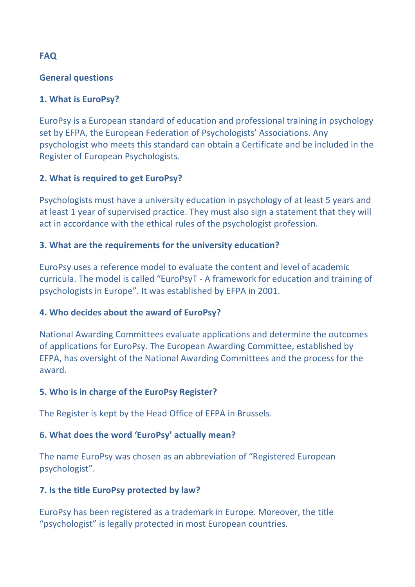# **FAQ**

### **General questions**

# **1. What is EuroPsy?**

EuroPsy is a European standard of education and professional training in psychology set by EFPA, the European Federation of Psychologists' Associations. Any psychologist who meets this standard can obtain a Certificate and be included in the Register of European Psychologists.

# **2. What is required to get EuroPsy?**

Psychologists must have a university education in psychology of at least 5 years and at least 1 year of supervised practice. They must also sign a statement that they will act in accordance with the ethical rules of the psychologist profession.

# **3. What are the requirements for the university education?**

EuroPsy uses a reference model to evaluate the content and level of academic curricula. The model is called "EuroPsyT - A framework for education and training of psychologists in Europe". It was established by EFPA in 2001.

# **4. Who decides about the award of EuroPsy?**

National Awarding Committees evaluate applications and determine the outcomes of applications for EuroPsy. The European Awarding Committee, established by EFPA, has oversight of the National Awarding Committees and the process for the award.

# **5. Who is in charge of the EuroPsy Register?**

The Register is kept by the Head Office of EFPA in Brussels.

# **6. What does the word 'EuroPsy' actually mean?**

The name EuroPsy was chosen as an abbreviation of "Registered European psychologist".

# **7.** Is the title EuroPsy protected by law?

EuroPsy has been registered as a trademark in Europe. Moreover, the title "psychologist" is legally protected in most European countries.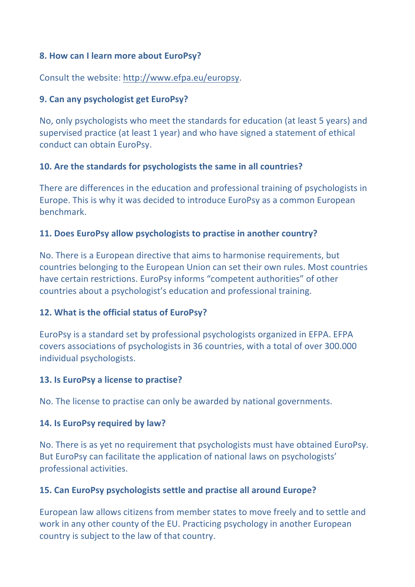## **8. How can I learn more about EuroPsy?**

Consult the website: http://www.efpa.eu/europsy.

## **9. Can any psychologist get EuroPsy?**

No, only psychologists who meet the standards for education (at least 5 years) and supervised practice (at least 1 year) and who have signed a statement of ethical conduct can obtain EuroPsy.

## **10.** Are the standards for psychologists the same in all countries?

There are differences in the education and professional training of psychologists in Europe. This is why it was decided to introduce EuroPsy as a common European benchmark.

## **11.** Does EuroPsy allow psychologists to practise in another country?

No. There is a European directive that aims to harmonise requirements, but countries belonging to the European Union can set their own rules. Most countries have certain restrictions. EuroPsy informs "competent authorities" of other countries about a psychologist's education and professional training.

#### **12. What is the official status of EuroPsy?**

EuroPsy is a standard set by professional psychologists organized in EFPA. EFPA covers associations of psychologists in 36 countries, with a total of over 300.000 individual psychologists.

#### **13.** Is EuroPsy a license to practise?

No. The license to practise can only be awarded by national governments.

#### **14.** Is EuroPsy required by law?

No. There is as yet no requirement that psychologists must have obtained EuroPsy. But EuroPsy can facilitate the application of national laws on psychologists' professional activities.

# **15. Can EuroPsy psychologists settle and practise all around Europe?**

European law allows citizens from member states to move freely and to settle and work in any other county of the EU. Practicing psychology in another European country is subject to the law of that country.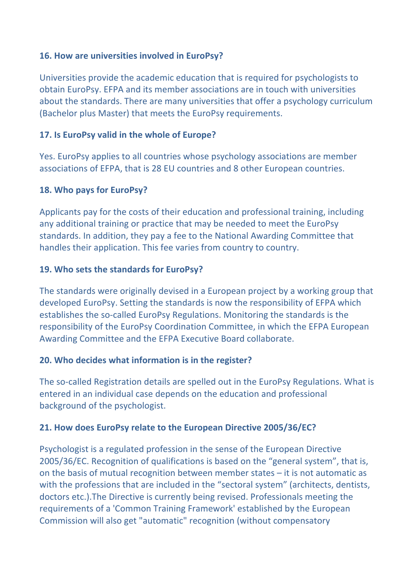### **16. How are universities involved in EuroPsy?**

Universities provide the academic education that is required for psychologists to obtain EuroPsy. EFPA and its member associations are in touch with universities about the standards. There are many universities that offer a psychology curriculum (Bachelor plus Master) that meets the EuroPsy requirements.

## **17.** Is EuroPsy valid in the whole of Europe?

Yes. EuroPsy applies to all countries whose psychology associations are member associations of EFPA, that is 28 EU countries and 8 other European countries.

## **18. Who pays for EuroPsy?**

Applicants pay for the costs of their education and professional training, including any additional training or practice that may be needed to meet the EuroPsy standards. In addition, they pay a fee to the National Awarding Committee that handles their application. This fee varies from country to country.

## **19. Who sets the standards for EuroPsy?**

The standards were originally devised in a European project by a working group that developed EuroPsy. Setting the standards is now the responsibility of EFPA which establishes the so-called EuroPsy Regulations. Monitoring the standards is the responsibility of the EuroPsy Coordination Committee, in which the EFPA European Awarding Committee and the EFPA Executive Board collaborate.

#### **20. Who decides what information is in the register?**

The so-called Registration details are spelled out in the EuroPsy Regulations. What is entered in an individual case depends on the education and professional background of the psychologist.

# **21. How does EuroPsy relate to the European Directive 2005/36/EC?**

Psychologist is a regulated profession in the sense of the European Directive 2005/36/EC. Recognition of qualifications is based on the "general system", that is, on the basis of mutual recognition between member states  $-$  it is not automatic as with the professions that are included in the "sectoral system" (architects, dentists, doctors etc.). The Directive is currently being revised. Professionals meeting the requirements of a 'Common Training Framework' established by the European Commission will also get "automatic" recognition (without compensatory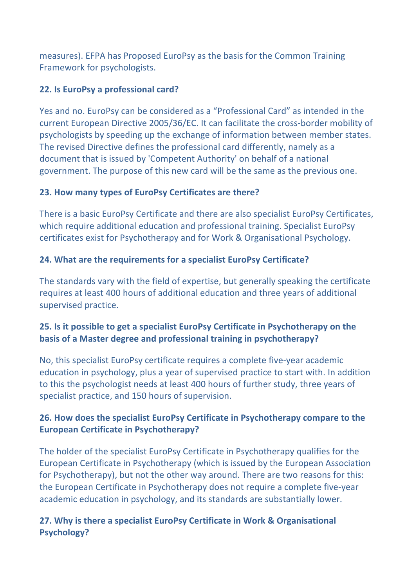measures). EFPA has Proposed EuroPsy as the basis for the Common Training Framework for psychologists.

# **22.** Is EuroPsy a professional card?

Yes and no. EuroPsy can be considered as a "Professional Card" as intended in the current European Directive 2005/36/EC. It can facilitate the cross-border mobility of psychologists by speeding up the exchange of information between member states. The revised Directive defines the professional card differently, namely as a document that is issued by 'Competent Authority' on behalf of a national government. The purpose of this new card will be the same as the previous one.

# **23. How many types of EuroPsy Certificates are there?**

There is a basic EuroPsy Certificate and there are also specialist EuroPsy Certificates, which require additional education and professional training. Specialist EuroPsy certificates exist for Psychotherapy and for Work & Organisational Psychology.

# **24. What are the requirements for a specialist EuroPsy Certificate?**

The standards vary with the field of expertise, but generally speaking the certificate requires at least 400 hours of additional education and three years of additional supervised practice.

# **25.** Is it possible to get a specialist EuroPsy Certificate in Psychotherapy on the **basis of a Master degree and professional training in psychotherapy?**

No, this specialist EuroPsy certificate requires a complete five-year academic education in psychology, plus a year of supervised practice to start with. In addition to this the psychologist needs at least 400 hours of further study, three years of specialist practice, and 150 hours of supervision.

# **26. How does the specialist EuroPsy Certificate in Psychotherapy compare to the European Certificate in Psychotherapy?**

The holder of the specialist EuroPsy Certificate in Psychotherapy qualifies for the European Certificate in Psychotherapy (which is issued by the European Association for Psychotherapy), but not the other way around. There are two reasons for this: the European Certificate in Psychotherapy does not require a complete five-year academic education in psychology, and its standards are substantially lower.

# **27.** Why is there a specialist EuroPsy Certificate in Work & Organisational **Psychology?**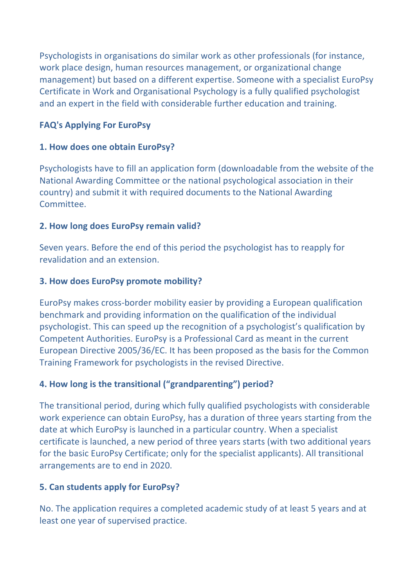Psychologists in organisations do similar work as other professionals (for instance, work place design, human resources management, or organizational change management) but based on a different expertise. Someone with a specialist EuroPsy Certificate in Work and Organisational Psychology is a fully qualified psychologist and an expert in the field with considerable further education and training.

# **FAQ's Applying For EuroPsy**

# **1. How does one obtain EuroPsy?**

Psychologists have to fill an application form (downloadable from the website of the National Awarding Committee or the national psychological association in their country) and submit it with required documents to the National Awarding Committee.

# **2. How long does EuroPsy remain valid?**

Seven years. Before the end of this period the psychologist has to reapply for revalidation and an extension.

# **3. How does EuroPsy promote mobility?**

EuroPsy makes cross-border mobility easier by providing a European qualification benchmark and providing information on the qualification of the individual psychologist. This can speed up the recognition of a psychologist's qualification by Competent Authorities. EuroPsy is a Professional Card as meant in the current European Directive 2005/36/EC. It has been proposed as the basis for the Common Training Framework for psychologists in the revised Directive.

# **4. How long is the transitional ("grandparenting") period?**

The transitional period, during which fully qualified psychologists with considerable work experience can obtain EuroPsy, has a duration of three years starting from the date at which EuroPsy is launched in a particular country. When a specialist certificate is launched, a new period of three years starts (with two additional years for the basic EuroPsy Certificate; only for the specialist applicants). All transitional arrangements are to end in 2020.

# **5. Can students apply for EuroPsy?**

No. The application requires a completed academic study of at least 5 years and at least one year of supervised practice.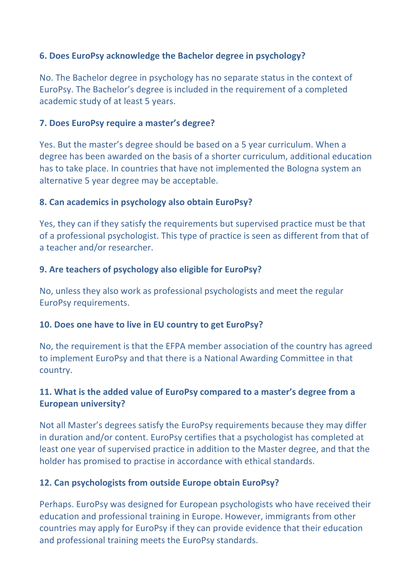## **6. Does EuroPsy acknowledge the Bachelor degree in psychology?**

No. The Bachelor degree in psychology has no separate status in the context of EuroPsy. The Bachelor's degree is included in the requirement of a completed academic study of at least 5 years.

### **7. Does EuroPsy require a master's degree?**

Yes. But the master's degree should be based on a 5 year curriculum. When a degree has been awarded on the basis of a shorter curriculum, additional education has to take place. In countries that have not implemented the Bologna system an alternative 5 year degree may be acceptable.

## **8. Can academics in psychology also obtain EuroPsy?**

Yes, they can if they satisfy the requirements but supervised practice must be that of a professional psychologist. This type of practice is seen as different from that of a teacher and/or researcher.

## **9. Are teachers of psychology also eligible for EuroPsy?**

No, unless they also work as professional psychologists and meet the regular EuroPsy requirements.

#### **10.** Does one have to live in EU country to get EuroPsy?

No, the requirement is that the EFPA member association of the country has agreed to implement EuroPsy and that there is a National Awarding Committee in that country.

# **11.** What is the added value of EuroPsy compared to a master's degree from a **European university?**

Not all Master's degrees satisfy the EuroPsy requirements because they may differ in duration and/or content. EuroPsy certifies that a psychologist has completed at least one year of supervised practice in addition to the Master degree, and that the holder has promised to practise in accordance with ethical standards.

#### **12. Can psychologists from outside Europe obtain EuroPsy?**

Perhaps. EuroPsy was designed for European psychologists who have received their education and professional training in Europe. However, immigrants from other countries may apply for EuroPsy if they can provide evidence that their education and professional training meets the EuroPsy standards.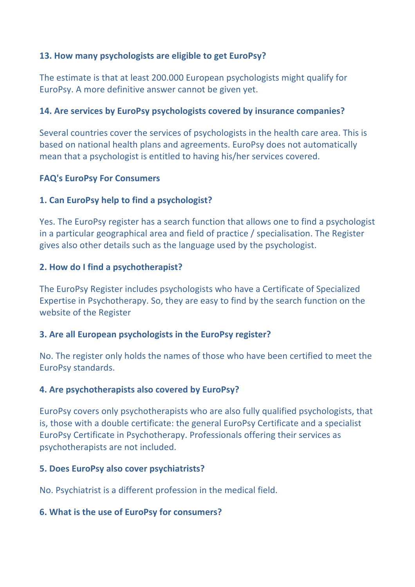## **13. How many psychologists are eligible to get EuroPsy?**

The estimate is that at least 200.000 European psychologists might qualify for EuroPsy. A more definitive answer cannot be given yet.

#### **14. Are services by EuroPsy psychologists covered by insurance companies?**

Several countries cover the services of psychologists in the health care area. This is based on national health plans and agreements. EuroPsy does not automatically mean that a psychologist is entitled to having his/her services covered.

## **FAQ's EuroPsy For Consumers**

## **1. Can EuroPsy help to find a psychologist?**

Yes. The EuroPsy register has a search function that allows one to find a psychologist in a particular geographical area and field of practice / specialisation. The Register gives also other details such as the language used by the psychologist.

## **2.** How do I find a psychotherapist?

The EuroPsy Register includes psychologists who have a Certificate of Specialized Expertise in Psychotherapy. So, they are easy to find by the search function on the website of the Register

#### **3. Are all European psychologists in the EuroPsy register?**

No. The register only holds the names of those who have been certified to meet the EuroPsy standards.

#### **4. Are psychotherapists also covered by EuroPsy?**

EuroPsy covers only psychotherapists who are also fully qualified psychologists, that is, those with a double certificate: the general EuroPsy Certificate and a specialist EuroPsy Certificate in Psychotherapy. Professionals offering their services as psychotherapists are not included.

#### **5. Does EuroPsy also cover psychiatrists?**

No. Psychiatrist is a different profession in the medical field.

#### **6. What is the use of EuroPsy for consumers?**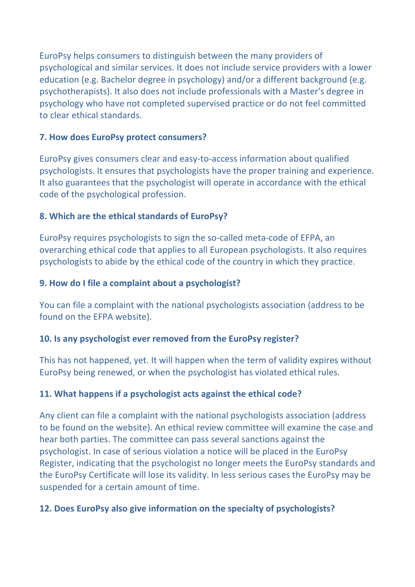EuroPsy helps consumers to distinguish between the many providers of psychological and similar services. It does not include service providers with a lower education (e.g. Bachelor degree in psychology) and/or a different background (e.g. psychotherapists). It also does not include professionals with a Master's degree in psychology who have not completed supervised practice or do not feel committed to clear ethical standards.

## **7. How does EuroPsy protect consumers?**

EuroPsy gives consumers clear and easy-to-access information about qualified psychologists. It ensures that psychologists have the proper training and experience. It also guarantees that the psychologist will operate in accordance with the ethical code of the psychological profession.

# **8. Which are the ethical standards of EuroPsy?**

EuroPsy requires psychologists to sign the so-called meta-code of EFPA, an overarching ethical code that applies to all European psychologists. It also requires psychologists to abide by the ethical code of the country in which they practice.

## **9. How do I file a complaint about a psychologist?**

You can file a complaint with the national psychologists association (address to be found on the EFPA website).

# **10.** Is any psychologist ever removed from the EuroPsy register?

This has not happened, yet. It will happen when the term of validity expires without EuroPsy being renewed, or when the psychologist has violated ethical rules.

# **11. What happens if a psychologist acts against the ethical code?**

Any client can file a complaint with the national psychologists association (address to be found on the website). An ethical review committee will examine the case and hear both parties. The committee can pass several sanctions against the psychologist. In case of serious violation a notice will be placed in the EuroPsy Register, indicating that the psychologist no longer meets the EuroPsy standards and the EuroPsy Certificate will lose its validity. In less serious cases the EuroPsy may be suspended for a certain amount of time.

# **12. Does EuroPsy also give information on the specialty of psychologists?**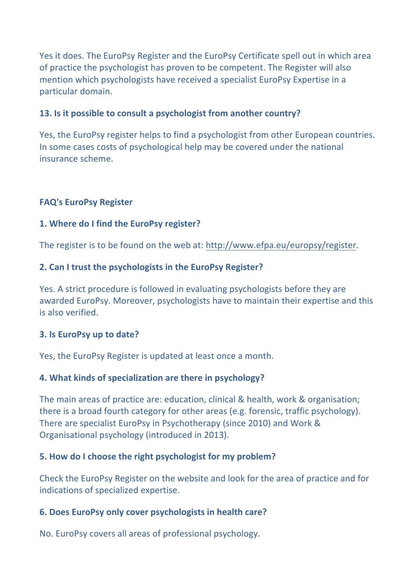Yes it does. The EuroPsy Register and the EuroPsy Certificate spell out in which area of practice the psychologist has proven to be competent. The Register will also mention which psychologists have received a specialist EuroPsy Expertise in a particular domain.

## **13.** Is it possible to consult a psychologist from another country?

Yes, the EuroPsy register helps to find a psychologist from other European countries. In some cases costs of psychological help may be covered under the national insurance scheme.

## **FAQ's EuroPsy Register**

#### **1. Where do I find the EuroPsy register?**

The register is to be found on the web at: http://www.efpa.eu/europsy/register.

#### **2. Can I trust the psychologists in the EuroPsy Register?**

Yes. A strict procedure is followed in evaluating psychologists before they are awarded EuroPsy. Moreover, psychologists have to maintain their expertise and this is also verified.

#### **3.** Is EuroPsy up to date?

Yes, the EuroPsy Register is updated at least once a month.

#### **4. What kinds of specialization are there in psychology?**

The main areas of practice are: education, clinical & health, work & organisation; there is a broad fourth category for other areas (e.g. forensic, traffic psychology). There are specialist EuroPsy in Psychotherapy (since 2010) and Work & Organisational psychology (introduced in 2013).

#### **5.** How do I choose the right psychologist for my problem?

Check the EuroPsy Register on the website and look for the area of practice and for indications of specialized expertise.

#### **6. Does EuroPsy only cover psychologists in health care?**

No. EuroPsy covers all areas of professional psychology.